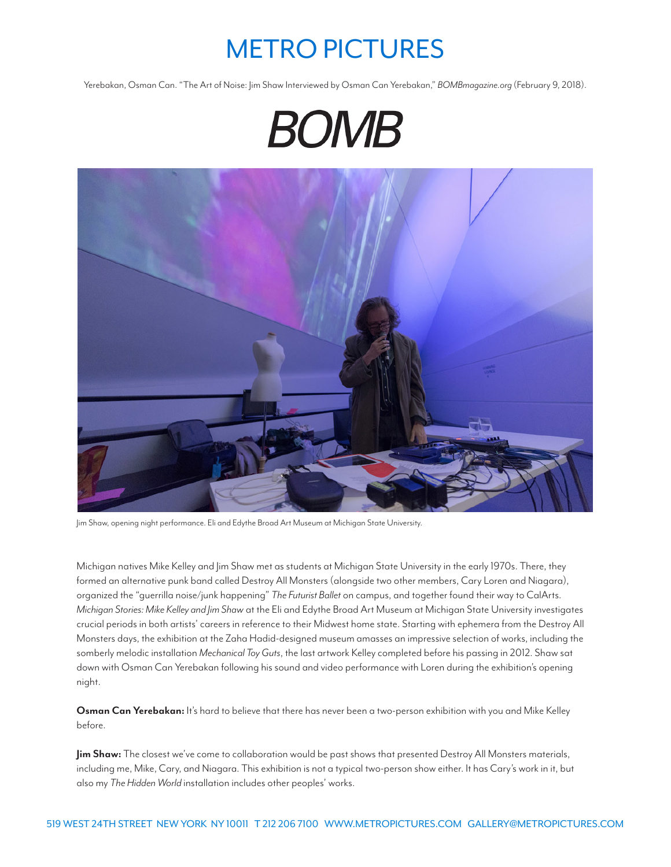## METRO PICTURES

Yerebakan, Osman Can. "The Art of Noise: Jim Shaw Interviewed by Osman Can Yerebakan," *BOMBmagazine.org* (February 9, 2018).





Jim Shaw, opening night performance. Eli and Edythe Broad Art Museum at Michigan State University.

Michigan natives Mike Kelley and Jim Shaw met as students at Michigan State University in the early 1970s. There, they formed an alternative punk band called Destroy All Monsters (alongside two other members, Cary Loren and Niagara), organized the "guerrilla noise/junk happening" *The Futurist Ballet* on campus, and together found their way to CalArts. *Michigan Stories: Mike Kelley and Jim Shaw* at the Eli and Edythe Broad Art Museum at Michigan State University investigates crucial periods in both artists' careers in reference to their Midwest home state. Starting with ephemera from the Destroy All Monsters days, the exhibition at the Zaha Hadid-designed museum amasses an impressive selection of works, including the somberly melodic installation *Mechanical Toy Guts*, the last artwork Kelley completed before his passing in 2012. Shaw sat down with Osman Can Yerebakan following his sound and video performance with Loren during the exhibition's opening night.

**Osman Can Yerebakan:** It's hard to believe that there has never been a two-person exhibition with you and Mike Kelley before.

**Jim Shaw:** The closest we've come to collaboration would be past shows that presented Destroy All Monsters materials, including me, Mike, Cary, and Niagara. This exhibition is not a typical two-person show either. It has Cary's work in it, but also my *The Hidden World* installation includes other peoples' works.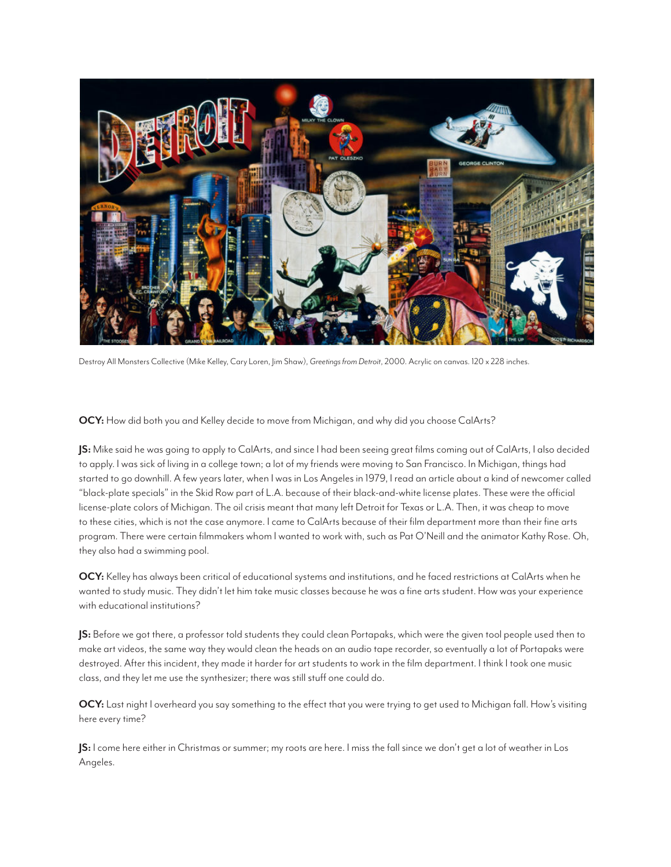

Destroy All Monsters Collective (Mike Kelley, Cary Loren, Jim Shaw), *Greetings from Detroit*, 2000. Acrylic on canvas. 120 x 228 inches.

**OCY:** How did both you and Kelley decide to move from Michigan, and why did you choose CalArts?

**JS:** Mike said he was going to apply to CalArts, and since I had been seeing great films coming out of CalArts, I also decided to apply. I was sick of living in a college town; a lot of my friends were moving to San Francisco. In Michigan, things had started to go downhill. A few years later, when I was in Los Angeles in 1979, I read an article about a kind of newcomer called "black-plate specials" in the Skid Row part of L.A. because of their black-and-white license plates. These were the official license-plate colors of Michigan. The oil crisis meant that many left Detroit for Texas or L.A. Then, it was cheap to move to these cities, which is not the case anymore. I came to CalArts because of their film department more than their fine arts program. There were certain filmmakers whom I wanted to work with, such as Pat O'Neill and the animator Kathy Rose. Oh, they also had a swimming pool.

**OCY:** Kelley has always been critical of educational systems and institutions, and he faced restrictions at CalArts when he wanted to study music. They didn't let him take music classes because he was a fine arts student. How was your experience with educational institutions?

**JS:** Before we got there, a professor told students they could clean Portapaks, which were the given tool people used then to make art videos, the same way they would clean the heads on an audio tape recorder, so eventually a lot of Portapaks were destroyed. After this incident, they made it harder for art students to work in the film department. I think I took one music class, and they let me use the synthesizer; there was still stuff one could do.

**OCY:** Last night I overheard you say something to the effect that you were trying to get used to Michigan fall. How's visiting here every time?

**JS:** I come here either in Christmas or summer; my roots are here. I miss the fall since we don't get a lot of weather in Los Angeles.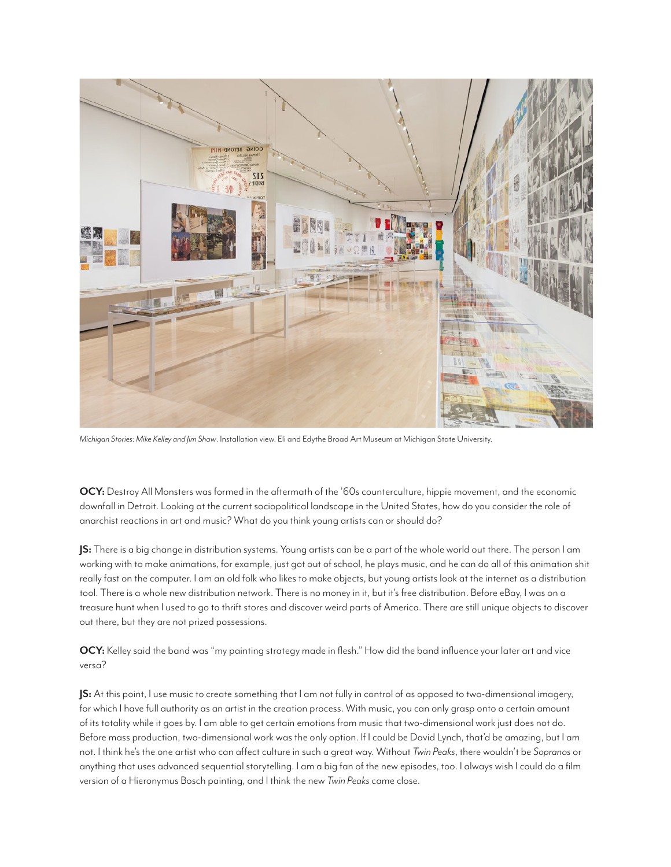

*Michigan Stories: Mike Kelley and Jim Shaw*. Installation view. Eli and Edythe Broad Art Museum at Michigan State University.

**OCY:** Destroy All Monsters was formed in the aftermath of the '60s counterculture, hippie movement, and the economic downfall in Detroit. Looking at the current sociopolitical landscape in the United States, how do you consider the role of anarchist reactions in art and music? What do you think young artists can or should do?

**JS:** There is a big change in distribution systems. Young artists can be a part of the whole world out there. The person I am working with to make animations, for example, just got out of school, he plays music, and he can do all of this animation shit really fast on the computer. I am an old folk who likes to make objects, but young artists look at the internet as a distribution tool. There is a whole new distribution network. There is no money in it, but it's free distribution. Before eBay, I was on a treasure hunt when I used to go to thrift stores and discover weird parts of America. There are still unique objects to discover out there, but they are not prized possessions.

**OCY:** Kelley said the band was "my painting strategy made in flesh." How did the band influence your later art and vice versa?

**JS:** At this point, I use music to create something that I am not fully in control of as opposed to two-dimensional imagery, for which I have full authority as an artist in the creation process. With music, you can only grasp onto a certain amount of its totality while it goes by. I am able to get certain emotions from music that two-dimensional work just does not do. Before mass production, two-dimensional work was the only option. If I could be David Lynch, that'd be amazing, but I am not. I think he's the one artist who can affect culture in such a great way. Without *Twin Peaks*, there wouldn't be *Sopranos* or anything that uses advanced sequential storytelling. I am a big fan of the new episodes, too. I always wish I could do a film version of a Hieronymus Bosch painting, and I think the new *Twin Peaks* came close.